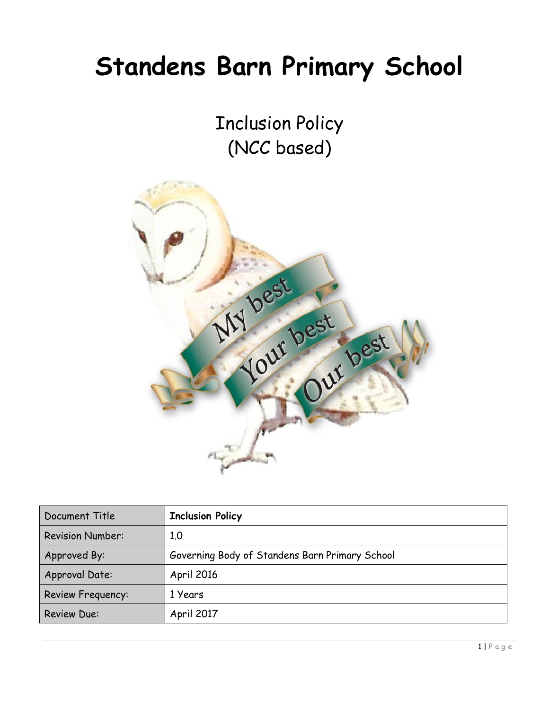# **Standens Barn Primary School**

Inclusion Policy (NCC based)



| Document Title           | <b>Inclusion Policy</b>                        |
|--------------------------|------------------------------------------------|
| <b>Revision Number:</b>  | 1.0                                            |
| Approved By:             | Governing Body of Standens Barn Primary School |
| Approval Date:           | April 2016                                     |
| <b>Review Frequency:</b> | 1 Years                                        |
| <b>Review Due:</b>       | April 2017                                     |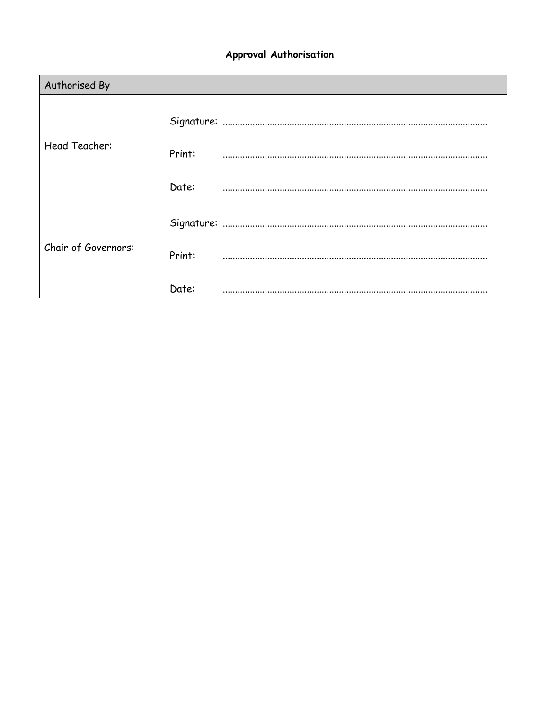# Approval Authorisation

| Authorised By       |        |  |  |  |  |
|---------------------|--------|--|--|--|--|
| Head Teacher:       | Print: |  |  |  |  |
|                     | Date:  |  |  |  |  |
| Chair of Governors: | Print: |  |  |  |  |
|                     | Date:  |  |  |  |  |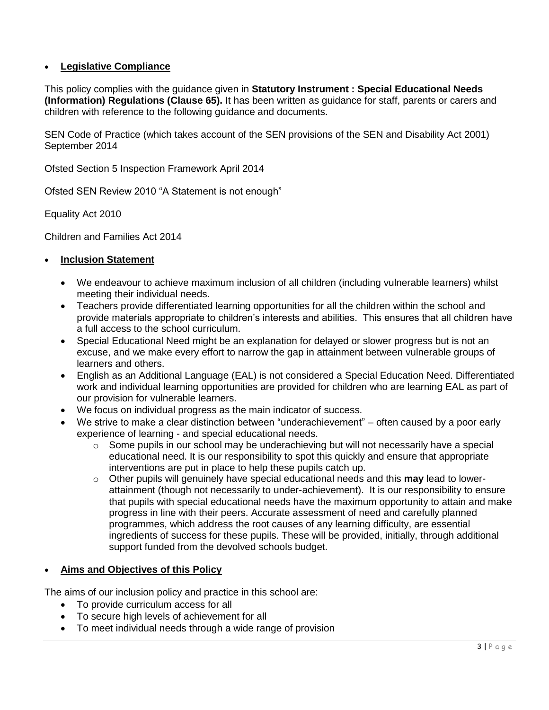# **Legislative Compliance**

This policy complies with the guidance given in **Statutory Instrument : Special Educational Needs (Information) Regulations (Clause 65).** It has been written as guidance for staff, parents or carers and children with reference to the following guidance and documents.

SEN Code of Practice (which takes account of the SEN provisions of the SEN and Disability Act 2001) September 2014

Ofsted Section 5 Inspection Framework April 2014

Ofsted SEN Review 2010 "A Statement is not enough"

Equality Act 2010

Children and Families Act 2014

#### **Inclusion Statement**

- We endeavour to achieve maximum inclusion of all children (including vulnerable learners) whilst meeting their individual needs.
- Teachers provide differentiated learning opportunities for all the children within the school and provide materials appropriate to children's interests and abilities. This ensures that all children have a full access to the school curriculum.
- Special Educational Need might be an explanation for delayed or slower progress but is not an excuse, and we make every effort to narrow the gap in attainment between vulnerable groups of learners and others.
- English as an Additional Language (EAL) is not considered a Special Education Need. Differentiated work and individual learning opportunities are provided for children who are learning EAL as part of our provision for vulnerable learners.
- We focus on individual progress as the main indicator of success.
- We strive to make a clear distinction between "underachievement" often caused by a poor early experience of learning - and special educational needs.
	- $\circ$  Some pupils in our school may be underachieving but will not necessarily have a special educational need. It is our responsibility to spot this quickly and ensure that appropriate interventions are put in place to help these pupils catch up.
	- o Other pupils will genuinely have special educational needs and this **may** lead to lowerattainment (though not necessarily to under-achievement). It is our responsibility to ensure that pupils with special educational needs have the maximum opportunity to attain and make progress in line with their peers. Accurate assessment of need and carefully planned programmes, which address the root causes of any learning difficulty, are essential ingredients of success for these pupils. These will be provided, initially, through additional support funded from the devolved schools budget.

### **Aims and Objectives of this Policy**

The aims of our inclusion policy and practice in this school are:

- To provide curriculum access for all
- To secure high levels of achievement for all
- To meet individual needs through a wide range of provision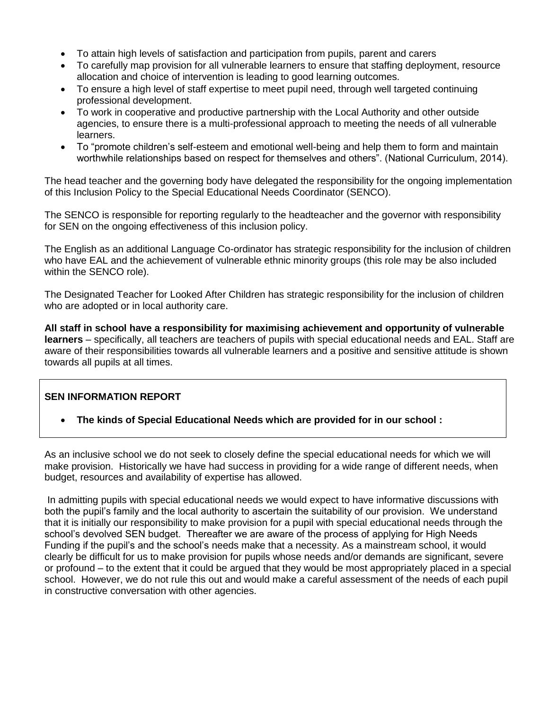- To attain high levels of satisfaction and participation from pupils, parent and carers
- To carefully map provision for all vulnerable learners to ensure that staffing deployment, resource allocation and choice of intervention is leading to good learning outcomes.
- To ensure a high level of staff expertise to meet pupil need, through well targeted continuing professional development.
- To work in cooperative and productive partnership with the Local Authority and other outside agencies, to ensure there is a multi-professional approach to meeting the needs of all vulnerable learners.
- To "promote children's self-esteem and emotional well-being and help them to form and maintain worthwhile relationships based on respect for themselves and others". (National Curriculum, 2014).

The head teacher and the governing body have delegated the responsibility for the ongoing implementation of this Inclusion Policy to the Special Educational Needs Coordinator (SENCO).

The SENCO is responsible for reporting regularly to the headteacher and the governor with responsibility for SEN on the ongoing effectiveness of this inclusion policy.

The English as an additional Language Co-ordinator has strategic responsibility for the inclusion of children who have EAL and the achievement of vulnerable ethnic minority groups (this role may be also included within the SENCO role).

The Designated Teacher for Looked After Children has strategic responsibility for the inclusion of children who are adopted or in local authority care.

**All staff in school have a responsibility for maximising achievement and opportunity of vulnerable learners** – specifically, all teachers are teachers of pupils with special educational needs and EAL. Staff are aware of their responsibilities towards all vulnerable learners and a positive and sensitive attitude is shown towards all pupils at all times.

# **SEN INFORMATION REPORT**

**The kinds of Special Educational Needs which are provided for in our school :**

As an inclusive school we do not seek to closely define the special educational needs for which we will make provision. Historically we have had success in providing for a wide range of different needs, when budget, resources and availability of expertise has allowed.

In admitting pupils with special educational needs we would expect to have informative discussions with both the pupil's family and the local authority to ascertain the suitability of our provision. We understand that it is initially our responsibility to make provision for a pupil with special educational needs through the school's devolved SEN budget. Thereafter we are aware of the process of applying for High Needs Funding if the pupil's and the school's needs make that a necessity. As a mainstream school, it would clearly be difficult for us to make provision for pupils whose needs and/or demands are significant, severe or profound – to the extent that it could be argued that they would be most appropriately placed in a special school. However, we do not rule this out and would make a careful assessment of the needs of each pupil in constructive conversation with other agencies.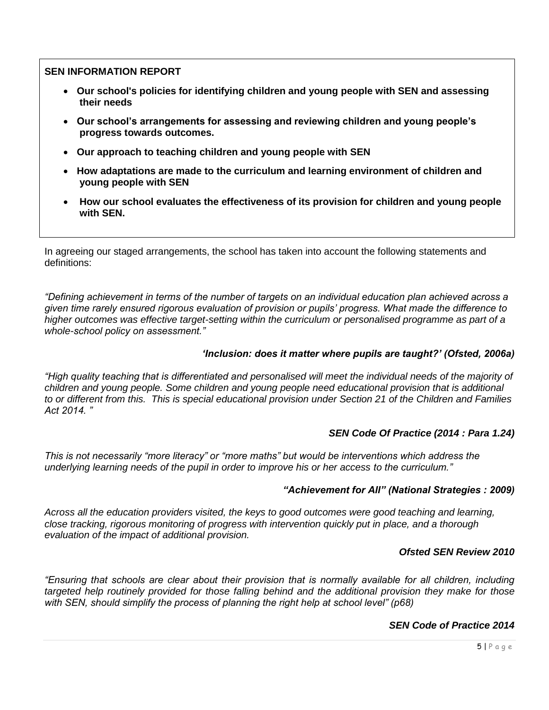- **Our school's policies for identifying children and young people with SEN and assessing their needs**
- **Our school's arrangements for assessing and reviewing children and young people's progress towards outcomes.**
- **Our approach to teaching children and young people with SEN**
- **How adaptations are made to the curriculum and learning environment of children and young people with SEN**
- **How our school evaluates the effectiveness of its provision for children and young people with SEN.**

In agreeing our staged arrangements, the school has taken into account the following statements and definitions:

*"Defining achievement in terms of the number of targets on an individual education plan achieved across a given time rarely ensured rigorous evaluation of provision or pupils' progress. What made the difference to higher outcomes was effective target-setting within the curriculum or personalised programme as part of a whole-school policy on assessment."*

#### *'Inclusion: does it matter where pupils are taught?' (Ofsted, 2006a)*

*"High quality teaching that is differentiated and personalised will meet the individual needs of the majority of children and young people. Some children and young people need educational provision that is additional to or different from this. This is special educational provision under Section 21 of the Children and Families Act 2014. "* 

#### *SEN Code Of Practice (2014 : Para 1.24)*

*This is not necessarily "more literacy" or "more maths" but would be interventions which address the underlying learning needs of the pupil in order to improve his or her access to the curriculum."*

#### *"Achievement for All" (National Strategies : 2009)*

*Across all the education providers visited, the keys to good outcomes were good teaching and learning, close tracking, rigorous monitoring of progress with intervention quickly put in place, and a thorough evaluation of the impact of additional provision.*

#### *Ofsted SEN Review 2010*

*"Ensuring that schools are clear about their provision that is normally available for all children, including targeted help routinely provided for those falling behind and the additional provision they make for those with SEN, should simplify the process of planning the right help at school level" (p68)*

### *SEN Code of Practice 2014*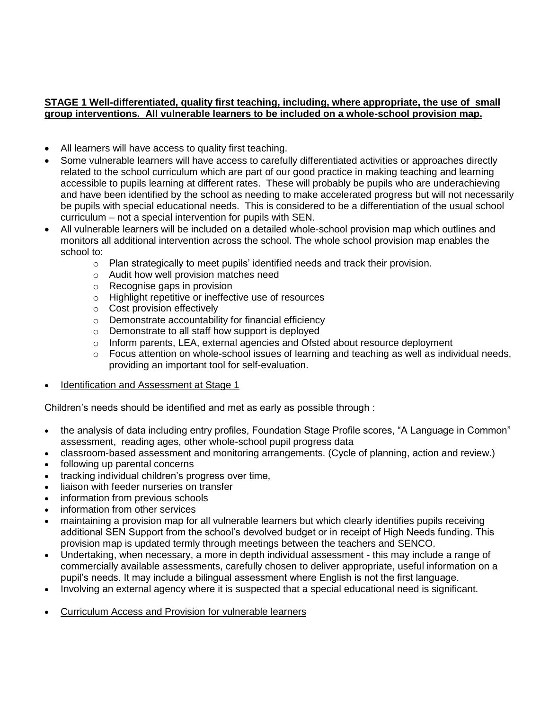### **STAGE 1 Well-differentiated, quality first teaching, including, where appropriate, the use of small group interventions. All vulnerable learners to be included on a whole-school provision map.**

- All learners will have access to quality first teaching.
- Some vulnerable learners will have access to carefully differentiated activities or approaches directly related to the school curriculum which are part of our good practice in making teaching and learning accessible to pupils learning at different rates. These will probably be pupils who are underachieving and have been identified by the school as needing to make accelerated progress but will not necessarily be pupils with special educational needs. This is considered to be a differentiation of the usual school curriculum – not a special intervention for pupils with SEN.
- All vulnerable learners will be included on a detailed whole-school provision map which outlines and monitors all additional intervention across the school. The whole school provision map enables the school to:
	- $\circ$  Plan strategically to meet pupils' identified needs and track their provision.
	- o Audit how well provision matches need
	- o Recognise gaps in provision
	- o Highlight repetitive or ineffective use of resources
	- o Cost provision effectively
	- o Demonstrate accountability for financial efficiency
	- o Demonstrate to all staff how support is deployed
	- $\circ$  Inform parents, LEA, external agencies and Ofsted about resource deployment
	- o Focus attention on whole-school issues of learning and teaching as well as individual needs, providing an important tool for self-evaluation.
- Identification and Assessment at Stage 1

Children's needs should be identified and met as early as possible through :

- the analysis of data including entry profiles, Foundation Stage Profile scores, "A Language in Common" assessment, reading ages, other whole-school pupil progress data
- classroom-based assessment and monitoring arrangements. (Cycle of planning, action and review.)
- following up parental concerns
- tracking individual children's progress over time,
- liaison with feeder nurseries on transfer
- information from previous schools
- information from other services
- maintaining a provision map for all vulnerable learners but which clearly identifies pupils receiving additional SEN Support from the school's devolved budget or in receipt of High Needs funding. This provision map is updated termly through meetings between the teachers and SENCO.
- Undertaking, when necessary, a more in depth individual assessment this may include a range of commercially available assessments, carefully chosen to deliver appropriate, useful information on a pupil's needs. It may include a bilingual assessment where English is not the first language.
- Involving an external agency where it is suspected that a special educational need is significant.
- Curriculum Access and Provision for vulnerable learners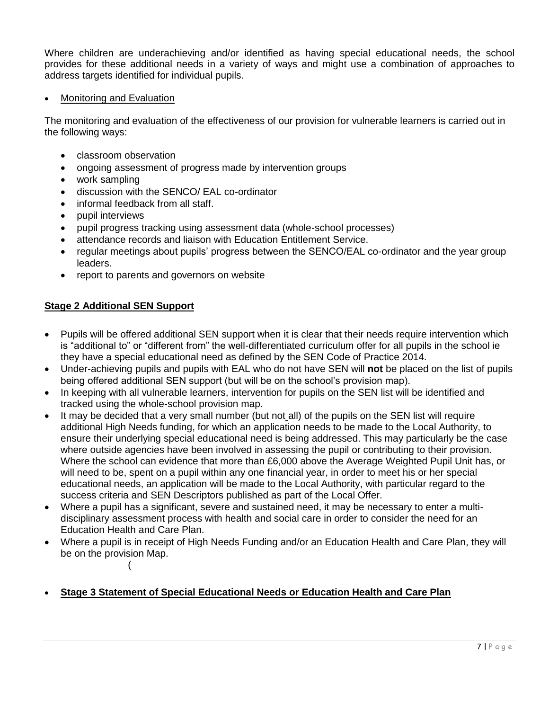Where children are underachieving and/or identified as having special educational needs, the school provides for these additional needs in a variety of ways and might use a combination of approaches to address targets identified for individual pupils.

#### Monitoring and Evaluation

The monitoring and evaluation of the effectiveness of our provision for vulnerable learners is carried out in the following ways:

- classroom observation
- ongoing assessment of progress made by intervention groups
- work sampling
- discussion with the SENCO/ EAL co-ordinator
- informal feedback from all staff.
- pupil interviews
- pupil progress tracking using assessment data (whole-school processes)
- attendance records and liaison with Education Entitlement Service.
- regular meetings about pupils' progress between the SENCO/EAL co-ordinator and the year group leaders.
- report to parents and governors on website

### **Stage 2 Additional SEN Support**

(

- Pupils will be offered additional SEN support when it is clear that their needs require intervention which is "additional to" or "different from" the well-differentiated curriculum offer for all pupils in the school ie they have a special educational need as defined by the SEN Code of Practice 2014.
- Under-achieving pupils and pupils with EAL who do not have SEN will **not** be placed on the list of pupils being offered additional SEN support (but will be on the school's provision map).
- In keeping with all vulnerable learners, intervention for pupils on the SEN list will be identified and tracked using the whole-school provision map.
- It may be decided that a very small number (but not all) of the pupils on the SEN list will require additional High Needs funding, for which an application needs to be made to the Local Authority, to ensure their underlying special educational need is being addressed. This may particularly be the case where outside agencies have been involved in assessing the pupil or contributing to their provision. Where the school can evidence that more than £6,000 above the Average Weighted Pupil Unit has, or will need to be, spent on a pupil within any one financial year, in order to meet his or her special educational needs, an application will be made to the Local Authority, with particular regard to the success criteria and SEN Descriptors published as part of the Local Offer.
- Where a pupil has a significant, severe and sustained need, it may be necessary to enter a multidisciplinary assessment process with health and social care in order to consider the need for an Education Health and Care Plan.
- Where a pupil is in receipt of High Needs Funding and/or an Education Health and Care Plan, they will be on the provision Map.

**Stage 3 Statement of Special Educational Needs or Education Health and Care Plan**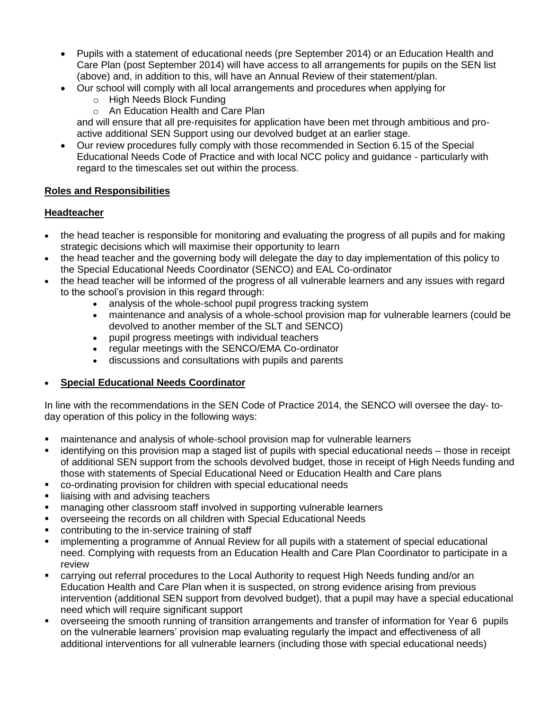- Pupils with a statement of educational needs (pre September 2014) or an Education Health and Care Plan (post September 2014) will have access to all arrangements for pupils on the SEN list (above) and, in addition to this, will have an Annual Review of their statement/plan.
- Our school will comply with all local arrangements and procedures when applying for
	- o High Needs Block Funding
	- o An Education Health and Care Plan

and will ensure that all pre-requisites for application have been met through ambitious and proactive additional SEN Support using our devolved budget at an earlier stage.

 Our review procedures fully comply with those recommended in Section 6.15 of the Special Educational Needs Code of Practice and with local NCC policy and guidance - particularly with regard to the timescales set out within the process.

### **Roles and Responsibilities**

# **Headteacher**

- the head teacher is responsible for monitoring and evaluating the progress of all pupils and for making strategic decisions which will maximise their opportunity to learn
- the head teacher and the governing body will delegate the day to day implementation of this policy to the Special Educational Needs Coordinator (SENCO) and EAL Co-ordinator
- the head teacher will be informed of the progress of all vulnerable learners and any issues with regard to the school's provision in this regard through:
	- analysis of the whole-school pupil progress tracking system
	- maintenance and analysis of a whole-school provision map for vulnerable learners (could be devolved to another member of the SLT and SENCO)
	- pupil progress meetings with individual teachers
	- regular meetings with the SENCO/EMA Co-ordinator
	- discussions and consultations with pupils and parents

# **Special Educational Needs Coordinator**

In line with the recommendations in the SEN Code of Practice 2014, the SENCO will oversee the day- today operation of this policy in the following ways:

- maintenance and analysis of whole-school provision map for vulnerable learners
- identifying on this provision map a staged list of pupils with special educational needs those in receipt of additional SEN support from the schools devolved budget, those in receipt of High Needs funding and those with statements of Special Educational Need or Education Health and Care plans
- co-ordinating provision for children with special educational needs
- liaising with and advising teachers
- managing other classroom staff involved in supporting vulnerable learners
- overseeing the records on all children with Special Educational Needs
- contributing to the in-service training of staff
- **•** implementing a programme of Annual Review for all pupils with a statement of special educational need. Complying with requests from an Education Health and Care Plan Coordinator to participate in a review
- carrying out referral procedures to the Local Authority to request High Needs funding and/or an Education Health and Care Plan when it is suspected, on strong evidence arising from previous intervention (additional SEN support from devolved budget), that a pupil may have a special educational need which will require significant support
- overseeing the smooth running of transition arrangements and transfer of information for Year 6 pupils on the vulnerable learners' provision map evaluating regularly the impact and effectiveness of all additional interventions for all vulnerable learners (including those with special educational needs)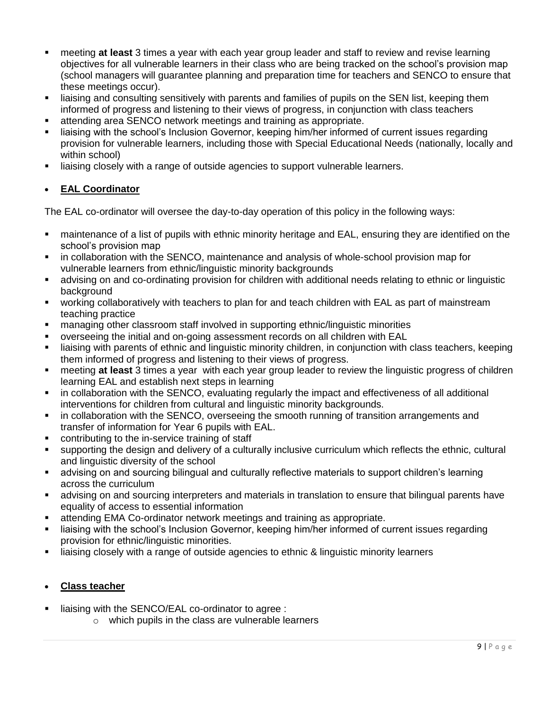- meeting **at least** 3 times a year with each year group leader and staff to review and revise learning objectives for all vulnerable learners in their class who are being tracked on the school's provision map (school managers will guarantee planning and preparation time for teachers and SENCO to ensure that these meetings occur).
- liaising and consulting sensitively with parents and families of pupils on the SEN list, keeping them informed of progress and listening to their views of progress, in conjunction with class teachers
- attending area SENCO network meetings and training as appropriate.
- liaising with the school's Inclusion Governor, keeping him/her informed of current issues regarding provision for vulnerable learners, including those with Special Educational Needs (nationally, locally and within school)
- liaising closely with a range of outside agencies to support vulnerable learners.

# **EAL Coordinator**

The EAL co-ordinator will oversee the day-to-day operation of this policy in the following ways:

- maintenance of a list of pupils with ethnic minority heritage and EAL, ensuring they are identified on the school's provision map
- in collaboration with the SENCO, maintenance and analysis of whole-school provision map for vulnerable learners from ethnic/linguistic minority backgrounds
- advising on and co-ordinating provision for children with additional needs relating to ethnic or linguistic background
- working collaboratively with teachers to plan for and teach children with EAL as part of mainstream teaching practice
- managing other classroom staff involved in supporting ethnic/linguistic minorities
- overseeing the initial and on-going assessment records on all children with EAL
- liaising with parents of ethnic and linguistic minority children, in conjunction with class teachers, keeping them informed of progress and listening to their views of progress.
- meeting **at least** 3 times a year with each year group leader to review the linguistic progress of children learning EAL and establish next steps in learning
- in collaboration with the SENCO, evaluating regularly the impact and effectiveness of all additional interventions for children from cultural and linguistic minority backgrounds.
- **EXECT** in collaboration with the SENCO, overseeing the smooth running of transition arrangements and transfer of information for Year 6 pupils with EAL.
- contributing to the in-service training of staff
- supporting the design and delivery of a culturally inclusive curriculum which reflects the ethnic, cultural and linguistic diversity of the school
- advising on and sourcing bilingual and culturally reflective materials to support children's learning across the curriculum
- advising on and sourcing interpreters and materials in translation to ensure that bilingual parents have equality of access to essential information
- attending EMA Co-ordinator network meetings and training as appropriate.
- liaising with the school's Inclusion Governor, keeping him/her informed of current issues regarding provision for ethnic/linguistic minorities.
- liaising closely with a range of outside agencies to ethnic & linguistic minority learners

# **Class teacher**

- liaising with the SENCO/EAL co-ordinator to agree :
	- o which pupils in the class are vulnerable learners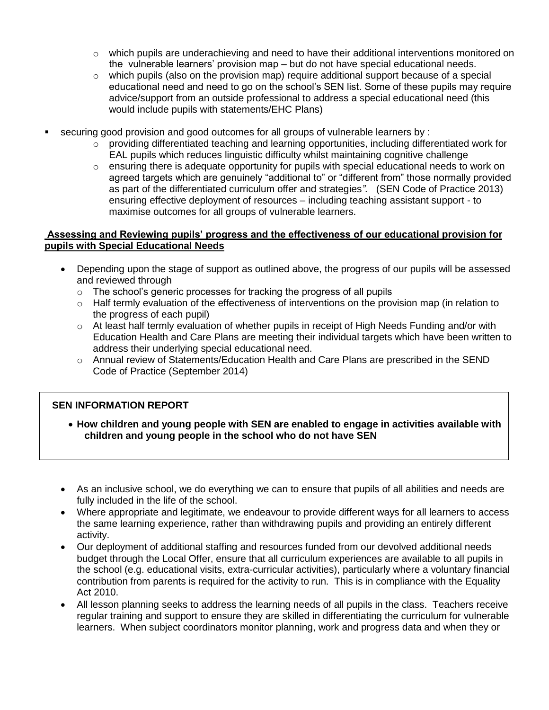- $\circ$  which pupils are underachieving and need to have their additional interventions monitored on the vulnerable learners' provision map – but do not have special educational needs.
- $\circ$  which pupils (also on the provision map) require additional support because of a special educational need and need to go on the school's SEN list. Some of these pupils may require advice/support from an outside professional to address a special educational need (this would include pupils with statements/EHC Plans)
- securing good provision and good outcomes for all groups of vulnerable learners by :
	- $\circ$  providing differentiated teaching and learning opportunities, including differentiated work for EAL pupils which reduces linguistic difficulty whilst maintaining cognitive challenge
	- $\circ$  ensuring there is adequate opportunity for pupils with special educational needs to work on agreed targets which are genuinely "additional to" or "different from" those normally provided as part of the differentiated curriculum offer and strategies*".* (SEN Code of Practice 2013) ensuring effective deployment of resources – including teaching assistant support - to maximise outcomes for all groups of vulnerable learners.

#### **Assessing and Reviewing pupils' progress and the effectiveness of our educational provision for pupils with Special Educational Needs**

- Depending upon the stage of support as outlined above, the progress of our pupils will be assessed and reviewed through
	- o The school's generic processes for tracking the progress of all pupils
	- o Half termly evaluation of the effectiveness of interventions on the provision map (in relation to the progress of each pupil)
	- o At least half termly evaluation of whether pupils in receipt of High Needs Funding and/or with Education Health and Care Plans are meeting their individual targets which have been written to address their underlying special educational need.
	- o Annual review of Statements/Education Health and Care Plans are prescribed in the SEND Code of Practice (September 2014)

# **SEN INFORMATION REPORT**

- **How children and young people with SEN are enabled to engage in activities available with children and young people in the school who do not have SEN**
- As an inclusive school, we do everything we can to ensure that pupils of all abilities and needs are fully included in the life of the school.
- Where appropriate and legitimate, we endeavour to provide different ways for all learners to access the same learning experience, rather than withdrawing pupils and providing an entirely different activity.
- Our deployment of additional staffing and resources funded from our devolved additional needs budget through the Local Offer, ensure that all curriculum experiences are available to all pupils in the school (e.g. educational visits, extra-curricular activities), particularly where a voluntary financial contribution from parents is required for the activity to run. This is in compliance with the Equality Act 2010.
- All lesson planning seeks to address the learning needs of all pupils in the class. Teachers receive regular training and support to ensure they are skilled in differentiating the curriculum for vulnerable learners. When subject coordinators monitor planning, work and progress data and when they or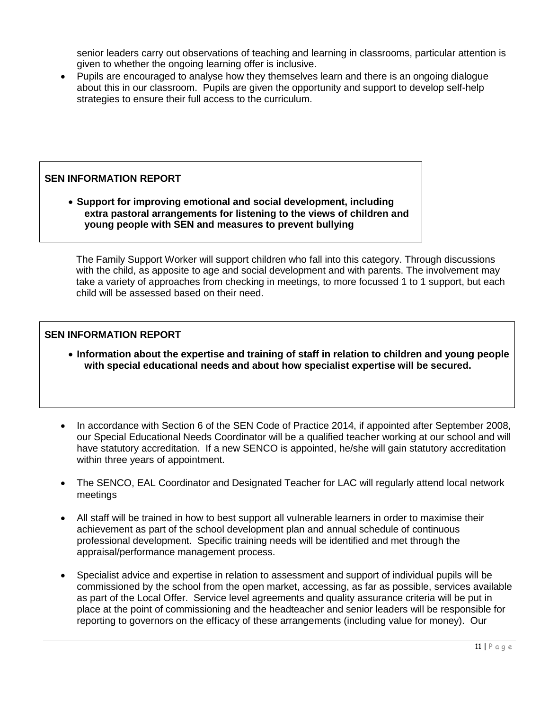senior leaders carry out observations of teaching and learning in classrooms, particular attention is given to whether the ongoing learning offer is inclusive.

 Pupils are encouraged to analyse how they themselves learn and there is an ongoing dialogue about this in our classroom. Pupils are given the opportunity and support to develop self-help strategies to ensure their full access to the curriculum.

# **SEN INFORMATION REPORT**

 **Support for improving emotional and social development, including extra pastoral arrangements for listening to the views of children and young people with SEN and measures to prevent bullying**

The Family Support Worker will support children who fall into this category. Through discussions with the child, as apposite to age and social development and with parents. The involvement may take a variety of approaches from checking in meetings, to more focussed 1 to 1 support, but each child will be assessed based on their need.

### **SEN INFORMATION REPORT**

- **Information about the expertise and training of staff in relation to children and young people with special educational needs and about how specialist expertise will be secured.**
- In accordance with Section 6 of the SEN Code of Practice 2014, if appointed after September 2008, our Special Educational Needs Coordinator will be a qualified teacher working at our school and will have statutory accreditation. If a new SENCO is appointed, he/she will gain statutory accreditation within three years of appointment.
- The SENCO, EAL Coordinator and Designated Teacher for LAC will regularly attend local network meetings
- All staff will be trained in how to best support all vulnerable learners in order to maximise their achievement as part of the school development plan and annual schedule of continuous professional development. Specific training needs will be identified and met through the appraisal/performance management process.
- Specialist advice and expertise in relation to assessment and support of individual pupils will be commissioned by the school from the open market, accessing, as far as possible, services available as part of the Local Offer. Service level agreements and quality assurance criteria will be put in place at the point of commissioning and the headteacher and senior leaders will be responsible for reporting to governors on the efficacy of these arrangements (including value for money). Our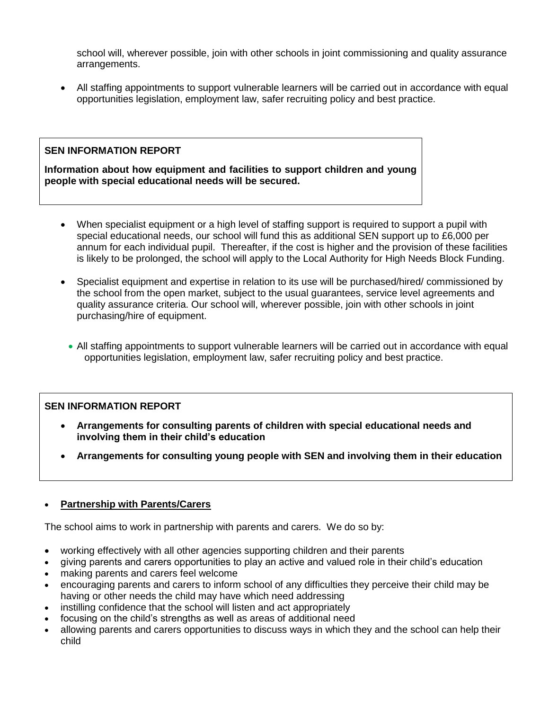school will, wherever possible, join with other schools in joint commissioning and quality assurance arrangements.

 All staffing appointments to support vulnerable learners will be carried out in accordance with equal opportunities legislation, employment law, safer recruiting policy and best practice.

# **SEN INFORMATION REPORT**

**Information about how equipment and facilities to support children and young people with special educational needs will be secured.** 

- When specialist equipment or a high level of staffing support is required to support a pupil with special educational needs, our school will fund this as additional SEN support up to £6,000 per annum for each individual pupil. Thereafter, if the cost is higher and the provision of these facilities is likely to be prolonged, the school will apply to the Local Authority for High Needs Block Funding.
- Specialist equipment and expertise in relation to its use will be purchased/hired/ commissioned by the school from the open market, subject to the usual guarantees, service level agreements and quality assurance criteria. Our school will, wherever possible, join with other schools in joint purchasing/hire of equipment.
	- All staffing appointments to support vulnerable learners will be carried out in accordance with equal opportunities legislation, employment law, safer recruiting policy and best practice.

# **SEN INFORMATION REPORT**

- **Arrangements for consulting parents of children with special educational needs and involving them in their child's education**
- **Arrangements for consulting young people with SEN and involving them in their education**

# **Partnership with Parents/Carers**

The school aims to work in partnership with parents and carers. We do so by:

- working effectively with all other agencies supporting children and their parents
- giving parents and carers opportunities to play an active and valued role in their child's education
- making parents and carers feel welcome
- encouraging parents and carers to inform school of any difficulties they perceive their child may be having or other needs the child may have which need addressing
- instilling confidence that the school will listen and act appropriately
- focusing on the child's strengths as well as areas of additional need
- allowing parents and carers opportunities to discuss ways in which they and the school can help their child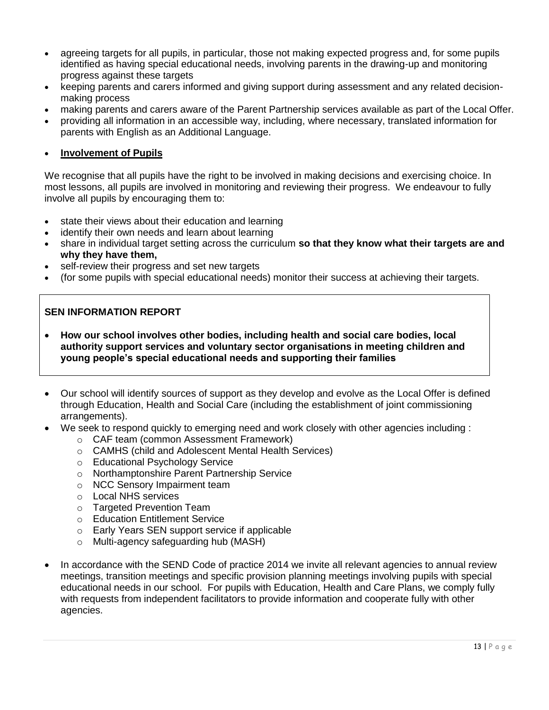- agreeing targets for all pupils, in particular, those not making expected progress and, for some pupils identified as having special educational needs, involving parents in the drawing-up and monitoring progress against these targets
- keeping parents and carers informed and giving support during assessment and any related decisionmaking process
- making parents and carers aware of the Parent Partnership services available as part of the Local Offer.
- providing all information in an accessible way, including, where necessary, translated information for parents with English as an Additional Language.

# **Involvement of Pupils**

We recognise that all pupils have the right to be involved in making decisions and exercising choice. In most lessons, all pupils are involved in monitoring and reviewing their progress. We endeavour to fully involve all pupils by encouraging them to:

- state their views about their education and learning
- identify their own needs and learn about learning
- share in individual target setting across the curriculum **so that they know what their targets are and why they have them,**
- self-review their progress and set new targets
- (for some pupils with special educational needs) monitor their success at achieving their targets.

# **SEN INFORMATION REPORT**

- **How our school involves other bodies, including health and social care bodies, local authority support services and voluntary sector organisations in meeting children and young people's special educational needs and supporting their families**
- Our school will identify sources of support as they develop and evolve as the Local Offer is defined through Education, Health and Social Care (including the establishment of joint commissioning arrangements).
- We seek to respond quickly to emerging need and work closely with other agencies including :
	- o CAF team (common Assessment Framework)
	- o CAMHS (child and Adolescent Mental Health Services)
	- o Educational Psychology Service
	- o Northamptonshire Parent Partnership Service
	- o NCC Sensory Impairment team
	- o Local NHS services
	- o Targeted Prevention Team
	- o Education Entitlement Service
	- o Early Years SEN support service if applicable
	- o Multi-agency safeguarding hub (MASH)
- In accordance with the SEND Code of practice 2014 we invite all relevant agencies to annual review meetings, transition meetings and specific provision planning meetings involving pupils with special educational needs in our school. For pupils with Education, Health and Care Plans, we comply fully with requests from independent facilitators to provide information and cooperate fully with other agencies.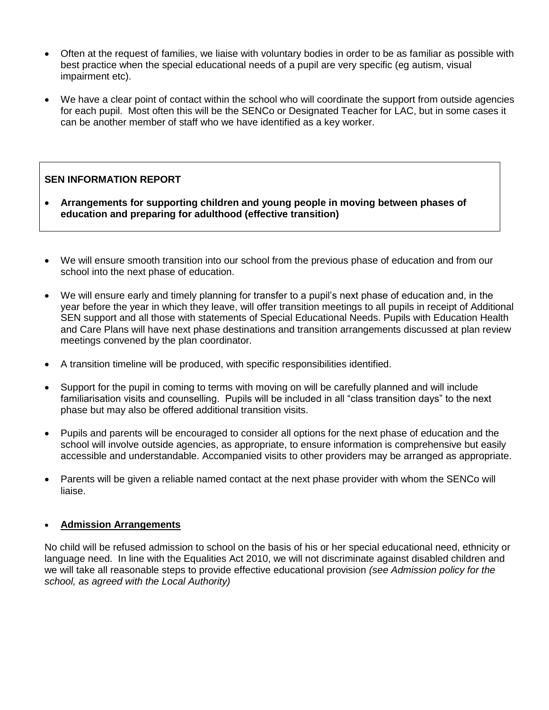- Often at the request of families, we liaise with voluntary bodies in order to be as familiar as possible with best practice when the special educational needs of a pupil are very specific (eg autism, visual impairment etc).
- We have a clear point of contact within the school who will coordinate the support from outside agencies for each pupil. Most often this will be the SENCo or Designated Teacher for LAC, but in some cases it can be another member of staff who we have identified as a key worker.

- **Arrangements for supporting children and young people in moving between phases of education and preparing for adulthood (effective transition)**
- We will ensure smooth transition into our school from the previous phase of education and from our school into the next phase of education.
- We will ensure early and timely planning for transfer to a pupil's next phase of education and, in the year before the year in which they leave, will offer transition meetings to all pupils in receipt of Additional SEN support and all those with statements of Special Educational Needs. Pupils with Education Health and Care Plans will have next phase destinations and transition arrangements discussed at plan review meetings convened by the plan coordinator.
- A transition timeline will be produced, with specific responsibilities identified.
- Support for the pupil in coming to terms with moving on will be carefully planned and will include familiarisation visits and counselling. Pupils will be included in all "class transition days" to the next phase but may also be offered additional transition visits.
- Pupils and parents will be encouraged to consider all options for the next phase of education and the school will involve outside agencies, as appropriate, to ensure information is comprehensive but easily accessible and understandable. Accompanied visits to other providers may be arranged as appropriate.
- Parents will be given a reliable named contact at the next phase provider with whom the SENCo will liaise.

# **Admission Arrangements**

No child will be refused admission to school on the basis of his or her special educational need, ethnicity or language need. In line with the Equalities Act 2010, we will not discriminate against disabled children and we will take all reasonable steps to provide effective educational provision *(see Admission policy for the school, as agreed with the Local Authority)*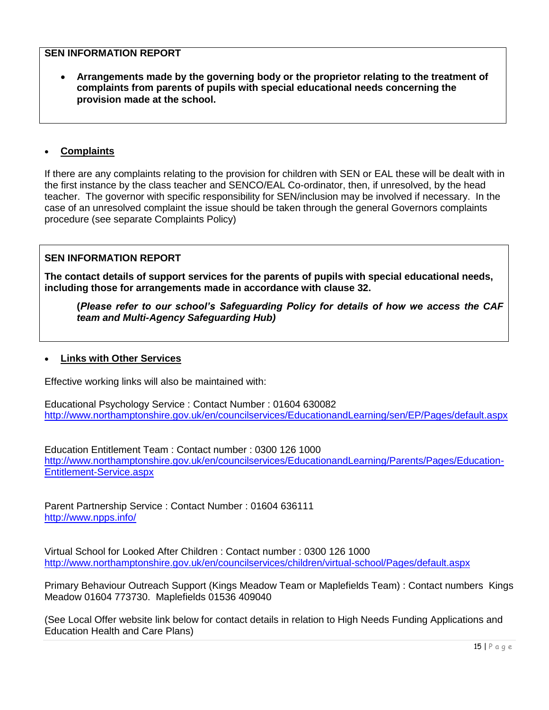**Arrangements made by the governing body or the proprietor relating to the treatment of complaints from parents of pupils with special educational needs concerning the provision made at the school.** 

### **Complaints**

If there are any complaints relating to the provision for children with SEN or EAL these will be dealt with in the first instance by the class teacher and SENCO/EAL Co-ordinator, then, if unresolved, by the head teacher. The governor with specific responsibility for SEN/inclusion may be involved if necessary. In the case of an unresolved complaint the issue should be taken through the general Governors complaints procedure (see separate Complaints Policy)

### **SEN INFORMATION REPORT**

**The contact details of support services for the parents of pupils with special educational needs, including those for arrangements made in accordance with clause 32.** 

**(***Please refer to our school's Safeguarding Policy for details of how we access the CAF team and Multi-Agency Safeguarding Hub)*

#### **Links with Other Services**

Effective working links will also be maintained with:

Educational Psychology Service : Contact Number : 01604 630082 <http://www.northamptonshire.gov.uk/en/councilservices/EducationandLearning/sen/EP/Pages/default.aspx>

Education Entitlement Team : Contact number : 0300 126 1000 [http://www.northamptonshire.gov.uk/en/councilservices/EducationandLearning/Parents/Pages/Education-](http://www.northamptonshire.gov.uk/en/councilservices/EducationandLearning/Parents/Pages/Education-Entitlement-Service.aspx)[Entitlement-Service.aspx](http://www.northamptonshire.gov.uk/en/councilservices/EducationandLearning/Parents/Pages/Education-Entitlement-Service.aspx)

Parent Partnership Service : Contact Number : 01604 636111 <http://www.npps.info/>

Virtual School for Looked After Children : Contact number : 0300 126 1000 <http://www.northamptonshire.gov.uk/en/councilservices/children/virtual-school/Pages/default.aspx>

Primary Behaviour Outreach Support (Kings Meadow Team or Maplefields Team) : Contact numbers Kings Meadow 01604 773730. Maplefields 01536 409040

(See Local Offer website link below for contact details in relation to High Needs Funding Applications and Education Health and Care Plans)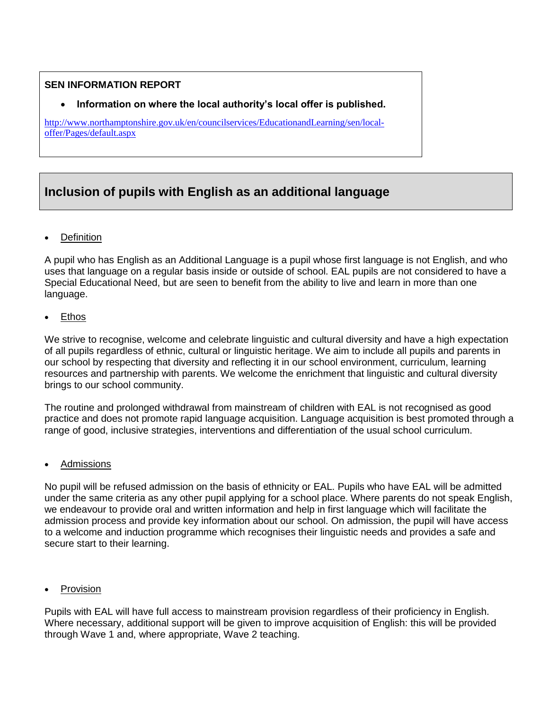# **Information on where the local authority's local offer is published.**

[http://www.northamptonshire.gov.uk/en/councilservices/EducationandLearning/sen/local](http://www.northamptonshire.gov.uk/en/councilservices/EducationandLearning/sen/local-offer/Pages/default.aspx)[offer/Pages/default.aspx](http://www.northamptonshire.gov.uk/en/councilservices/EducationandLearning/sen/local-offer/Pages/default.aspx)

# **Inclusion of pupils with English as an additional language**

**Definition** 

A pupil who has English as an Additional Language is a pupil whose first language is not English, and who uses that language on a regular basis inside or outside of school. EAL pupils are not considered to have a Special Educational Need, but are seen to benefit from the ability to live and learn in more than one language.

• Ethos

We strive to recognise, welcome and celebrate linguistic and cultural diversity and have a high expectation of all pupils regardless of ethnic, cultural or linguistic heritage. We aim to include all pupils and parents in our school by respecting that diversity and reflecting it in our school environment, curriculum, learning resources and partnership with parents. We welcome the enrichment that linguistic and cultural diversity brings to our school community.

The routine and prolonged withdrawal from mainstream of children with EAL is not recognised as good practice and does not promote rapid language acquisition. Language acquisition is best promoted through a range of good, inclusive strategies, interventions and differentiation of the usual school curriculum.

**Admissions** 

No pupil will be refused admission on the basis of ethnicity or EAL. Pupils who have EAL will be admitted under the same criteria as any other pupil applying for a school place. Where parents do not speak English, we endeavour to provide oral and written information and help in first language which will facilitate the admission process and provide key information about our school. On admission, the pupil will have access to a welcome and induction programme which recognises their linguistic needs and provides a safe and secure start to their learning.

Provision

Pupils with EAL will have full access to mainstream provision regardless of their proficiency in English. Where necessary, additional support will be given to improve acquisition of English: this will be provided through Wave 1 and, where appropriate, Wave 2 teaching.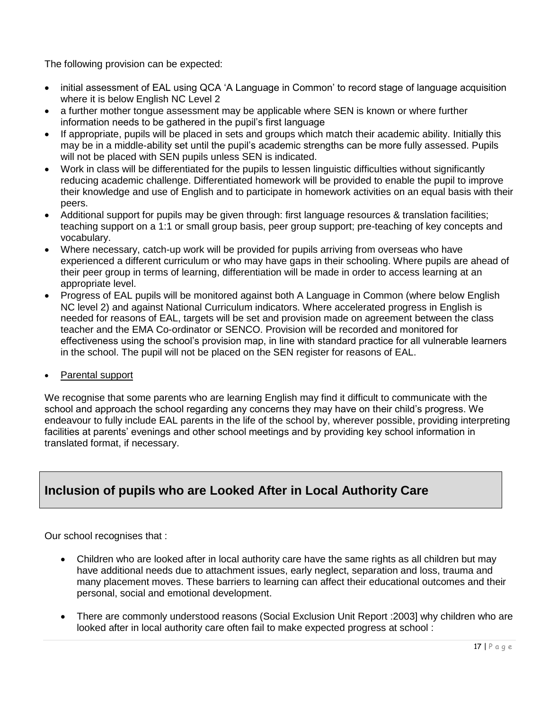The following provision can be expected:

- initial assessment of EAL using QCA 'A Language in Common' to record stage of language acquisition where it is below English NC Level 2
- a further mother tongue assessment may be applicable where SEN is known or where further information needs to be gathered in the pupil's first language
- If appropriate, pupils will be placed in sets and groups which match their academic ability. Initially this may be in a middle-ability set until the pupil's academic strengths can be more fully assessed. Pupils will not be placed with SEN pupils unless SEN is indicated.
- Work in class will be differentiated for the pupils to lessen linguistic difficulties without significantly reducing academic challenge. Differentiated homework will be provided to enable the pupil to improve their knowledge and use of English and to participate in homework activities on an equal basis with their peers.
- Additional support for pupils may be given through: first language resources & translation facilities; teaching support on a 1:1 or small group basis, peer group support; pre-teaching of key concepts and vocabulary.
- Where necessary, catch-up work will be provided for pupils arriving from overseas who have experienced a different curriculum or who may have gaps in their schooling. Where pupils are ahead of their peer group in terms of learning, differentiation will be made in order to access learning at an appropriate level.
- Progress of EAL pupils will be monitored against both A Language in Common (where below English NC level 2) and against National Curriculum indicators. Where accelerated progress in English is needed for reasons of EAL, targets will be set and provision made on agreement between the class teacher and the EMA Co-ordinator or SENCO. Provision will be recorded and monitored for effectiveness using the school's provision map, in line with standard practice for all vulnerable learners in the school. The pupil will not be placed on the SEN register for reasons of EAL.
- Parental support

We recognise that some parents who are learning English may find it difficult to communicate with the school and approach the school regarding any concerns they may have on their child's progress. We endeavour to fully include EAL parents in the life of the school by, wherever possible, providing interpreting facilities at parents' evenings and other school meetings and by providing key school information in translated format, if necessary.

# **Inclusion of pupils who are Looked After in Local Authority Care**

Our school recognises that :

- Children who are looked after in local authority care have the same rights as all children but may have additional needs due to attachment issues, early neglect, separation and loss, trauma and many placement moves. These barriers to learning can affect their educational outcomes and their personal, social and emotional development.
- There are commonly understood reasons (Social Exclusion Unit Report :2003] why children who are looked after in local authority care often fail to make expected progress at school :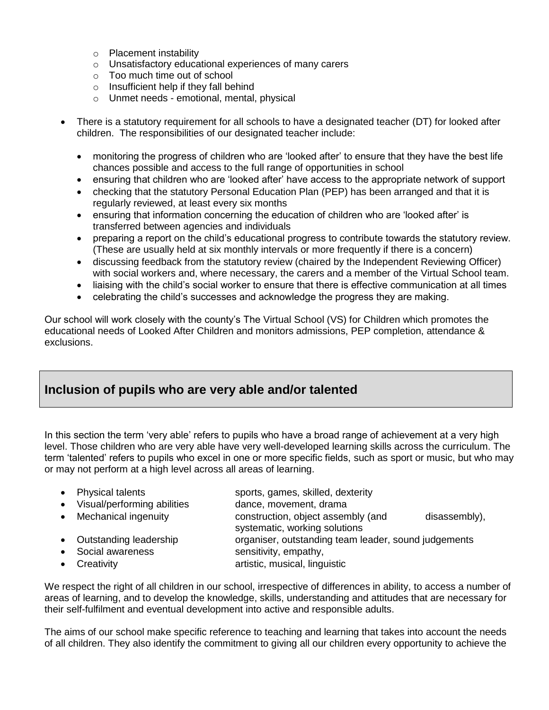- o Placement instability
- o Unsatisfactory educational experiences of many carers
- o Too much time out of school
- $\circ$  Insufficient help if they fall behind
- o Unmet needs emotional, mental, physical
- There is a statutory requirement for all schools to have a designated teacher (DT) for looked after children. The responsibilities of our designated teacher include:
	- monitoring the progress of children who are 'looked after' to ensure that they have the best life chances possible and access to the full range of opportunities in school
	- ensuring that children who are 'looked after' have access to the appropriate network of support
	- checking that the statutory Personal Education Plan (PEP) has been arranged and that it is regularly reviewed, at least every six months
	- ensuring that information concerning the education of children who are 'looked after' is transferred between agencies and individuals
	- preparing a report on the child's educational progress to contribute towards the statutory review. (These are usually held at six monthly intervals or more frequently if there is a concern)
	- discussing feedback from the statutory review (chaired by the Independent Reviewing Officer) with social workers and, where necessary, the carers and a member of the Virtual School team.
	- liaising with the child's social worker to ensure that there is effective communication at all times
	- celebrating the child's successes and acknowledge the progress they are making.

Our school will work closely with the county's The Virtual School (VS) for Children which promotes the educational needs of Looked After Children and monitors admissions, PEP completion, attendance & exclusions.

# **Inclusion of pupils who are very able and/or talented**

In this section the term 'very able' refers to pupils who have a broad range of achievement at a very high level. Those children who are very able have very well-developed learning skills across the curriculum. The term 'talented' refers to pupils who excel in one or more specific fields, such as sport or music, but who may or may not perform at a high level across all areas of learning.

|           | • Physical talents<br>• Visual/performing abilities | sports, games, skilled, dexterity<br>dance, movement, drama         |               |  |
|-----------|-----------------------------------------------------|---------------------------------------------------------------------|---------------|--|
| $\bullet$ | Mechanical ingenuity                                | construction, object assembly (and<br>systematic, working solutions | disassembly), |  |
|           | • Outstanding leadership                            | organiser, outstanding team leader, sound judgements                |               |  |

- Social awareness sensitivity, empathy,
- Creativity **artistic, musical, linguistic**

We respect the right of all children in our school, irrespective of differences in ability, to access a number of areas of learning, and to develop the knowledge, skills, understanding and attitudes that are necessary for their self-fulfilment and eventual development into active and responsible adults.

The aims of our school make specific reference to teaching and learning that takes into account the needs of all children. They also identify the commitment to giving all our children every opportunity to achieve the